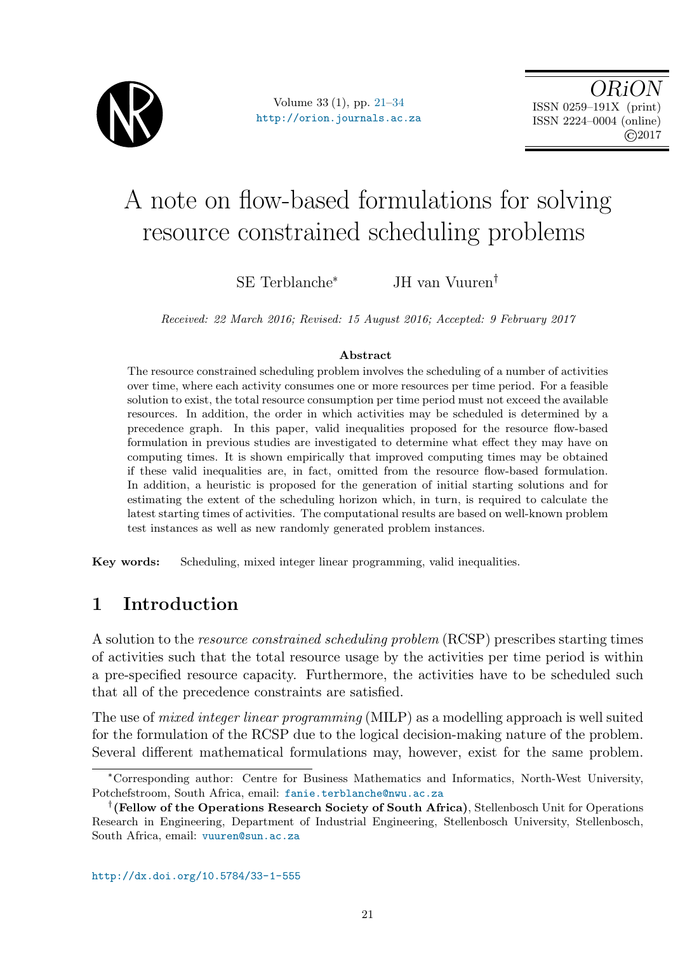

Volume 33 (1), pp. [21](#page-0-0)[–34](#page-12-0) <http://orion.journals.ac.za>

OR<sub>i</sub> ISSN 0259–191X (print) ISSN 2224–0004 (online) ©2017

# A note on flow-based formulations for solving resource constrained scheduling problems

SE Terblanche\* JH van Vuuren

Received: 22 March 2016; Revised: 15 August 2016; Accepted: 9 February 2017

#### Abstract

The resource constrained scheduling problem involves the scheduling of a number of activities over time, where each activity consumes one or more resources per time period. For a feasible solution to exist, the total resource consumption per time period must not exceed the available resources. In addition, the order in which activities may be scheduled is determined by a precedence graph. In this paper, valid inequalities proposed for the resource flow-based formulation in previous studies are investigated to determine what effect they may have on computing times. It is shown empirically that improved computing times may be obtained if these valid inequalities are, in fact, omitted from the resource flow-based formulation. In addition, a heuristic is proposed for the generation of initial starting solutions and for estimating the extent of the scheduling horizon which, in turn, is required to calculate the latest starting times of activities. The computational results are based on well-known problem test instances as well as new randomly generated problem instances.

Key words: Scheduling, mixed integer linear programming, valid inequalities.

## <span id="page-0-0"></span>1 Introduction

A solution to the resource constrained scheduling problem (RCSP) prescribes starting times of activities such that the total resource usage by the activities per time period is within a pre-specified resource capacity. Furthermore, the activities have to be scheduled such that all of the precedence constraints are satisfied.

The use of mixed integer linear programming (MILP) as a modelling approach is well suited for the formulation of the RCSP due to the logical decision-making nature of the problem. Several different mathematical formulations may, however, exist for the same problem.

<sup>\*</sup>Corresponding author: Centre for Business Mathematics and Informatics, North-West University, Potchefstroom, South Africa, email: <fanie.terblanche@nwu.ac.za>

 $^\dagger$  (Fellow of the Operations Research Society of South Africa), Stellenbosch Unit for Operations Research in Engineering, Department of Industrial Engineering, Stellenbosch University, Stellenbosch, South Africa, email: <vuuren@sun.ac.za>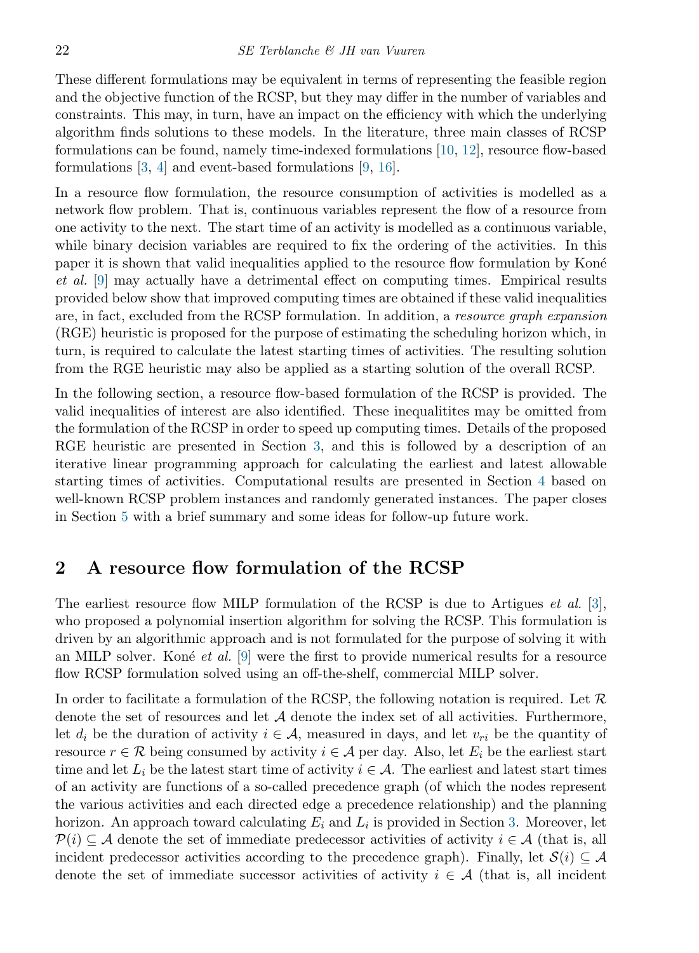These different formulations may be equivalent in terms of representing the feasible region and the objective function of the RCSP, but they may differ in the number of variables and constraints. This may, in turn, have an impact on the efficiency with which the underlying algorithm finds solutions to these models. In the literature, three main classes of RCSP formulations can be found, namely time-indexed formulations [\[10,](#page-13-0) [12\]](#page-13-1), resource flow-based formulations [\[3,](#page-12-1) [4\]](#page-12-2) and event-based formulations [\[9,](#page-13-2) [16\]](#page-13-3).

In a resource flow formulation, the resource consumption of activities is modelled as a network flow problem. That is, continuous variables represent the flow of a resource from one activity to the next. The start time of an activity is modelled as a continuous variable, while binary decision variables are required to fix the ordering of the activities. In this paper it is shown that valid inequalities applied to the resource flow formulation by Koné et al. [\[9\]](#page-13-2) may actually have a detrimental effect on computing times. Empirical results provided below show that improved computing times are obtained if these valid inequalities are, in fact, excluded from the RCSP formulation. In addition, a resource graph expansion (RGE) heuristic is proposed for the purpose of estimating the scheduling horizon which, in turn, is required to calculate the latest starting times of activities. The resulting solution from the RGE heuristic may also be applied as a starting solution of the overall RCSP.

In the following section, a resource flow-based formulation of the RCSP is provided. The valid inequalities of interest are also identified. These inequalitites may be omitted from the formulation of the RCSP in order to speed up computing times. Details of the proposed RGE heuristic are presented in Section [3,](#page-3-0) and this is followed by a description of an iterative linear programming approach for calculating the earliest and latest allowable starting times of activities. Computational results are presented in Section [4](#page-5-0) based on well-known RCSP problem instances and randomly generated instances. The paper closes in Section [5](#page-12-3) with a brief summary and some ideas for follow-up future work.

### 2 A resource flow formulation of the RCSP

The earliest resource flow MILP formulation of the RCSP is due to Artigues *et al.* [\[3\]](#page-12-1), who proposed a polynomial insertion algorithm for solving the RCSP. This formulation is driven by an algorithmic approach and is not formulated for the purpose of solving it with an MILP solver. Koné *et al.* [\[9\]](#page-13-2) were the first to provide numerical results for a resource flow RCSP formulation solved using an off-the-shelf, commercial MILP solver.

In order to facilitate a formulation of the RCSP, the following notation is required. Let  $\mathcal R$ denote the set of resources and let  $A$  denote the index set of all activities. Furthermore, let  $d_i$  be the duration of activity  $i \in \mathcal{A}$ , measured in days, and let  $v_{ri}$  be the quantity of resource  $r \in \mathcal{R}$  being consumed by activity  $i \in \mathcal{A}$  per day. Also, let  $E_i$  be the earliest start time and let  $L_i$  be the latest start time of activity  $i \in \mathcal{A}$ . The earliest and latest start times of an activity are functions of a so-called precedence graph (of which the nodes represent the various activities and each directed edge a precedence relationship) and the planning horizon. An approach toward calculating  $E_i$  and  $L_i$  is provided in Section [3.](#page-3-0) Moreover, let  $P(i) \subseteq A$  denote the set of immediate predecessor activities of activity  $i \in A$  (that is, all incident predecessor activities according to the precedence graph). Finally, let  $\mathcal{S}(i) \subseteq \mathcal{A}$ denote the set of immediate successor activities of activity  $i \in \mathcal{A}$  (that is, all incident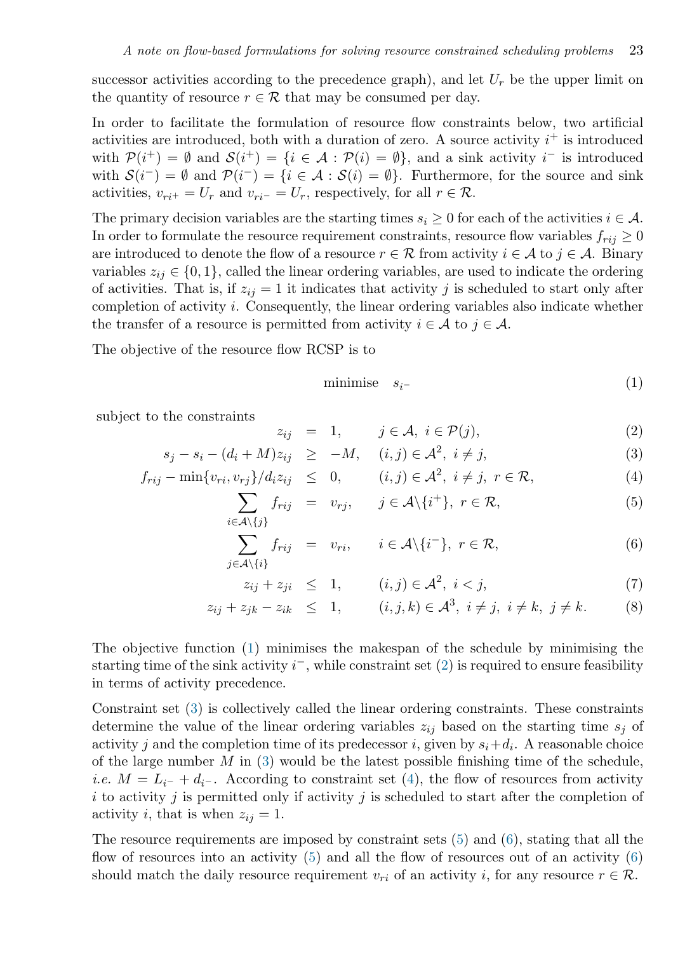successor activities according to the precedence graph), and let  $U_r$  be the upper limit on the quantity of resource  $r \in \mathcal{R}$  that may be consumed per day.

In order to facilitate the formulation of resource flow constraints below, two artificial activities are introduced, both with a duration of zero. A source activity  $i^+$  is introduced with  $\mathcal{P}(i^+) = \emptyset$  and  $\mathcal{S}(i^+) = \{i \in \mathcal{A} : \mathcal{P}(i) = \emptyset\}$ , and a sink activity  $i^-$  is introduced with  $S(i^-) = \emptyset$  and  $\mathcal{P}(i^-) = \{i \in \mathcal{A} : S(i) = \emptyset\}$ . Furthermore, for the source and sink activities,  $v_{ri} = U_r$  and  $v_{ri} = U_r$ , respectively, for all  $r \in \mathcal{R}$ .

The primary decision variables are the starting times  $s_i \geq 0$  for each of the activities  $i \in \mathcal{A}$ . In order to formulate the resource requirement constraints, resource flow variables  $f_{rij} \geq 0$ are introduced to denote the flow of a resource  $r \in \mathcal{R}$  from activity  $i \in \mathcal{A}$  to  $j \in \mathcal{A}$ . Binary variables  $z_{ij} \in \{0, 1\}$ , called the linear ordering variables, are used to indicate the ordering of activities. That is, if  $z_{ij} = 1$  it indicates that activity j is scheduled to start only after completion of activity i. Consequently, the linear ordering variables also indicate whether the transfer of a resource is permitted from activity  $i \in \mathcal{A}$  to  $j \in \mathcal{A}$ .

The objective of the resource flow RCSP is to

<span id="page-2-7"></span><span id="page-2-6"></span><span id="page-2-5"></span><span id="page-2-4"></span><span id="page-2-3"></span><span id="page-2-2"></span><span id="page-2-1"></span><span id="page-2-0"></span>
$$
minimise \t s_i- \t(1)
$$

subject to the constraints

$$
z_{ij} = 1, \qquad j \in \mathcal{A}, \ i \in \mathcal{P}(j), \tag{2}
$$

$$
s_j - s_i - (d_i + M)z_{ij} \ge -M, \quad (i, j) \in \mathcal{A}^2, \ i \ne j,
$$
 (3)

$$
f_{rij} - \min\{v_{ri}, v_{rj}\}/d_i z_{ij} \leq 0, \qquad (i, j) \in \mathcal{A}^2, \ i \neq j, \ r \in \mathcal{R}, \tag{4}
$$

$$
\sum_{i \in \mathcal{A} \setminus \{j\}} f_{rij} = v_{rj}, \quad j \in \mathcal{A} \setminus \{i^+\}, \ r \in \mathcal{R}, \tag{5}
$$

$$
\sum_{j \in \mathcal{A} \setminus \{i\}} f_{rij} = v_{ri}, \quad i \in \mathcal{A} \setminus \{i^{-}\}, \ r \in \mathcal{R}, \tag{6}
$$

$$
z_{ij} + z_{ji} \leq 1, \qquad (i,j) \in \mathcal{A}^2, \ i < j,\tag{7}
$$

$$
z_{ij} + z_{jk} - z_{ik} \leq 1,
$$
  $(i, j, k) \in \mathcal{A}^3, i \neq j, i \neq k, j \neq k.$  (8)

The objective function [\(1\)](#page-2-0) minimises the makespan of the schedule by minimising the starting time of the sink activity  $i^-$ , while constraint set  $(2)$  is required to ensure feasibility in terms of activity precedence.

Constraint set [\(3\)](#page-2-2) is collectively called the linear ordering constraints. These constraints determine the value of the linear ordering variables  $z_{ij}$  based on the starting time  $s_j$  of activity j and the completion time of its predecessor i, given by  $s_i + d_i$ . A reasonable choice of the large number  $M$  in [\(3\)](#page-2-2) would be the latest possible finishing time of the schedule, *i.e.*  $M = L_{i^-} + d_{i^-}$ . According to constraint set [\(4\)](#page-2-3), the flow of resources from activity i to activity j is permitted only if activity j is scheduled to start after the completion of activity i, that is when  $z_{ij} = 1$ .

The resource requirements are imposed by constraint sets  $(5)$  and  $(6)$ , stating that all the flow of resources into an activity [\(5\)](#page-2-4) and all the flow of resources out of an activity [\(6\)](#page-2-5) should match the daily resource requirement  $v_{ri}$  of an activity i, for any resource  $r \in \mathcal{R}$ .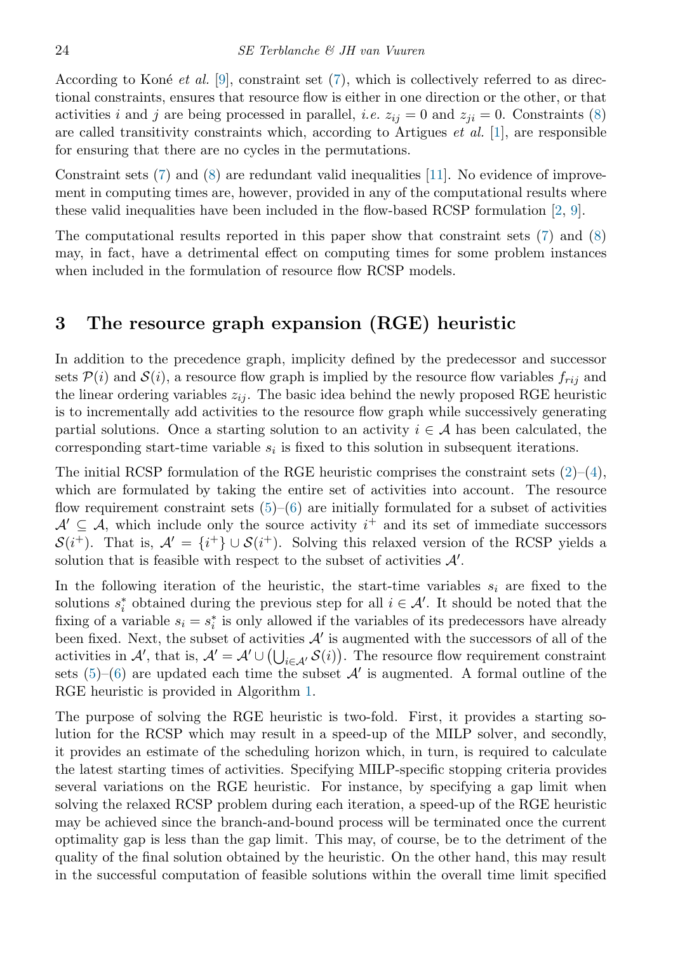According to Koné *et al.* [\[9\]](#page-13-2), constraint set [\(7\)](#page-2-6), which is collectively referred to as directional constraints, ensures that resource flow is either in one direction or the other, or that activities i and j are being processed in parallel, i.e.  $z_{ij} = 0$  and  $z_{ji} = 0$ . Constraints [\(8\)](#page-2-7) are called transitivity constraints which, according to Artigues *et al.* [\[1\]](#page-12-4), are responsible for ensuring that there are no cycles in the permutations.

Constraint sets  $(7)$  and  $(8)$  are redundant valid inequalities [\[11\]](#page-13-4). No evidence of improvement in computing times are, however, provided in any of the computational results where these valid inequalities have been included in the flow-based RCSP formulation [\[2,](#page-12-5) [9\]](#page-13-2).

The computational results reported in this paper show that constraint sets [\(7\)](#page-2-6) and [\(8\)](#page-2-7) may, in fact, have a detrimental effect on computing times for some problem instances when included in the formulation of resource flow RCSP models.

## <span id="page-3-0"></span>3 The resource graph expansion (RGE) heuristic

In addition to the precedence graph, implicity defined by the predecessor and successor sets  $P(i)$  and  $S(i)$ , a resource flow graph is implied by the resource flow variables  $f_{rij}$  and the linear ordering variables  $z_{ij}$ . The basic idea behind the newly proposed RGE heuristic is to incrementally add activities to the resource flow graph while successively generating partial solutions. Once a starting solution to an activity  $i \in \mathcal{A}$  has been calculated, the corresponding start-time variable  $s_i$  is fixed to this solution in subsequent iterations.

The initial RCSP formulation of the RGE heuristic comprises the constraint sets  $(2)-(4)$  $(2)-(4)$  $(2)-(4)$ , which are formulated by taking the entire set of activities into account. The resource flow requirement constraint sets  $(5)-(6)$  $(5)-(6)$  $(5)-(6)$  are initially formulated for a subset of activities  $\mathcal{A}' \subseteq \mathcal{A}$ , which include only the source activity  $i^+$  and its set of immediate successors  $S(i^+)$ . That is,  $\mathcal{A}' = \{i^+\}\cup S(i^+)$ . Solving this relaxed version of the RCSP yields a solution that is feasible with respect to the subset of activities  $\mathcal{A}'$ .

In the following iteration of the heuristic, the start-time variables  $s_i$  are fixed to the solutions  $s_i^*$  obtained during the previous step for all  $i \in \mathcal{A}'$ . It should be noted that the fixing of a variable  $s_i = s_i^*$  is only allowed if the variables of its predecessors have already been fixed. Next, the subset of activities  $A'$  is augmented with the successors of all of the activities in  $\mathcal{A}'$ , that is,  $\mathcal{A}' = \mathcal{A}' \cup (\bigcup_{i \in \mathcal{A}'} \mathcal{S}(i))$ . The resource flow requirement constraint sets  $(5)-(6)$  $(5)-(6)$  $(5)-(6)$  are updated each time the subset  $\mathcal{A}'$  is augmented. A formal outline of the RGE heuristic is provided in Algorithm [1.](#page-4-0)

The purpose of solving the RGE heuristic is two-fold. First, it provides a starting solution for the RCSP which may result in a speed-up of the MILP solver, and secondly, it provides an estimate of the scheduling horizon which, in turn, is required to calculate the latest starting times of activities. Specifying MILP-specific stopping criteria provides several variations on the RGE heuristic. For instance, by specifying a gap limit when solving the relaxed RCSP problem during each iteration, a speed-up of the RGE heuristic may be achieved since the branch-and-bound process will be terminated once the current optimality gap is less than the gap limit. This may, of course, be to the detriment of the quality of the final solution obtained by the heuristic. On the other hand, this may result in the successful computation of feasible solutions within the overall time limit specified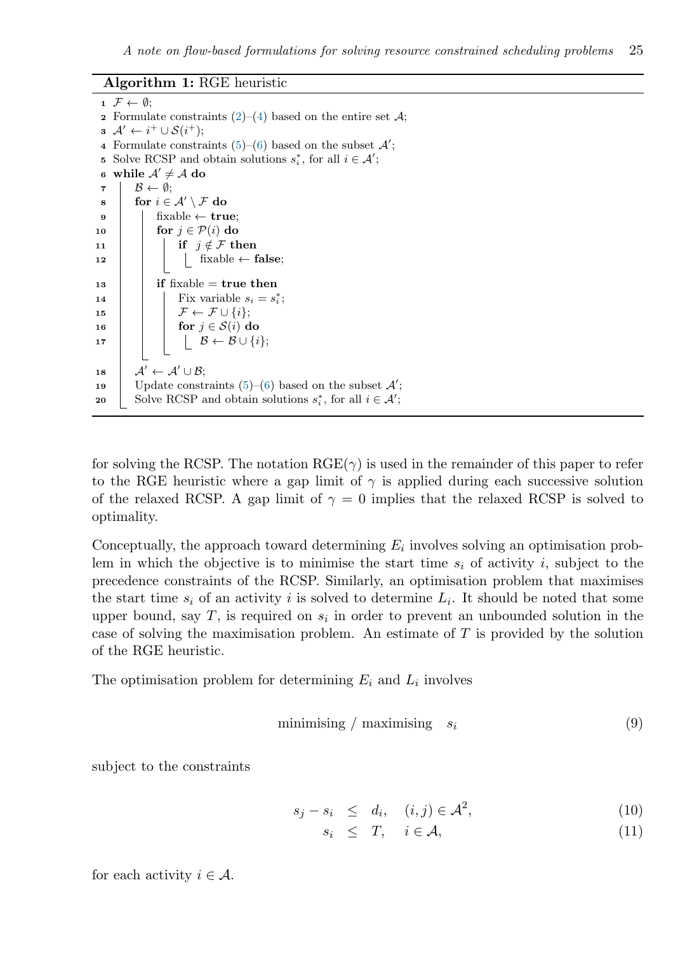#### Algorithm 1: RGE heuristic

 $1 \mathcal{F} \leftarrow \emptyset;$ 2 Formulate constraints  $(2)$ – $(4)$  based on the entire set  $\mathcal{A}$ ;  $\mathbf{3} \mathcal{A}' \leftarrow i^+ \cup \mathcal{S}(i^+);$ 4 Formulate constraints  $(5)-(6)$  $(5)-(6)$  $(5)-(6)$  based on the subset  $\mathcal{A}'$ ; **5** Solve RCSP and obtain solutions  $s_i^*$ , for all  $i \in \mathcal{A}'$ ; 6 while  $A' \neq A$  do  $\mathcal{B} \leftarrow \emptyset;$  $\begin{array}{|c|c|c|}\ \text{s} & \text{for } i\in \mathcal{A}'\setminus \mathcal{F} \text{ do} \end{array}$  $\bullet$  | | fixable  $\leftarrow$  true; 10 **for**  $j \in \mathcal{P}(i)$  do 11 | | if  $j \notin \mathcal{F}$  then 12 | | | fixable  $\leftarrow$  false;  $13$  | if fixable = true then 14 | Fix variable  $s_i = s_i^*$ ; 15  $\vert \vert \vert \mathcal{F} \leftarrow \mathcal{F} \cup \{i\};$ 16 **for**  $j \in \mathcal{S}(i)$  do 17  $\vert \vert \vert \vert \beta \leftarrow \mathcal{B} \cup \{i\};$  $18$   $\mathcal{A}' \leftarrow \mathcal{A}' \cup \mathcal{B};$ 19 | Update constraints  $(5)-(6)$  $(5)-(6)$  $(5)-(6)$  based on the subset  $\mathcal{A}'$ ; 20 Solve RCSP and obtain solutions  $s_i^*$ , for all  $i \in \mathcal{A}'$ ;

<span id="page-4-0"></span>for solving the RCSP. The notation  $RGE(\gamma)$  is used in the remainder of this paper to refer to the RGE heuristic where a gap limit of  $\gamma$  is applied during each successive solution of the relaxed RCSP. A gap limit of  $\gamma = 0$  implies that the relaxed RCSP is solved to optimality.

Conceptually, the approach toward determining  $E_i$  involves solving an optimisation problem in which the objective is to minimise the start time  $s_i$  of activity i, subject to the precedence constraints of the RCSP. Similarly, an optimisation problem that maximises the start time  $s_i$  of an activity i is solved to determine  $L_i$ . It should be noted that some upper bound, say  $T$ , is required on  $s_i$  in order to prevent an unbounded solution in the case of solving the maximisation problem. An estimate of T is provided by the solution of the RGE heuristic.

The optimisation problem for determining  $E_i$  and  $L_i$  involves

$$
minimising / maximising s_i \tag{9}
$$

subject to the constraints

$$
s_j - s_i \leq d_i, \quad (i, j) \in \mathcal{A}^2,\tag{10}
$$

$$
s_i \leq T, \quad i \in \mathcal{A}, \tag{11}
$$

for each activity  $i \in \mathcal{A}$ .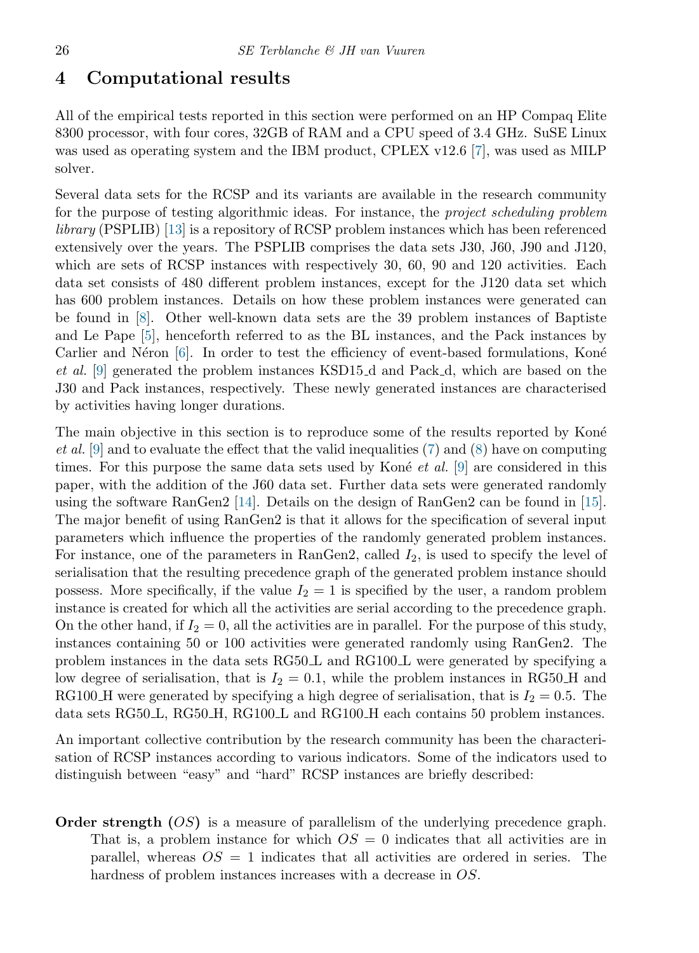#### <span id="page-5-0"></span>4 Computational results

All of the empirical tests reported in this section were performed on an HP Compaq Elite 8300 processor, with four cores, 32GB of RAM and a CPU speed of 3.4 GHz. SuSE Linux was used as operating system and the IBM product, CPLEX v12.6 [\[7\]](#page-12-6), was used as MILP solver.

Several data sets for the RCSP and its variants are available in the research community for the purpose of testing algorithmic ideas. For instance, the project scheduling problem library (PSPLIB) [\[13\]](#page-13-5) is a repository of RCSP problem instances which has been referenced extensively over the years. The PSPLIB comprises the data sets J30, J60, J90 and J120, which are sets of RCSP instances with respectively 30, 60, 90 and 120 activities. Each data set consists of 480 different problem instances, except for the J120 data set which has 600 problem instances. Details on how these problem instances were generated can be found in [\[8\]](#page-13-6). Other well-known data sets are the 39 problem instances of Baptiste and Le Pape [\[5\]](#page-12-7), henceforth referred to as the BL instances, and the Pack instances by Carlier and Néron  $[6]$ . In order to test the efficiency of event-based formulations, Koné et al. [\[9\]](#page-13-2) generated the problem instances KSD15 d and Pack d, which are based on the J30 and Pack instances, respectively. These newly generated instances are characterised by activities having longer durations.

The main objective in this section is to reproduce some of the results reported by Koné *et al.* [\[9\]](#page-13-2) and to evaluate the effect that the valid inequalities [\(7\)](#page-2-6) and [\(8\)](#page-2-7) have on computing times. For this purpose the same data sets used by Kone *et al.* [\[9\]](#page-13-2) are considered in this paper, with the addition of the J60 data set. Further data sets were generated randomly using the software RanGen2 [\[14\]](#page-13-7). Details on the design of RanGen2 can be found in [\[15\]](#page-13-8). The major benefit of using RanGen2 is that it allows for the specification of several input parameters which influence the properties of the randomly generated problem instances. For instance, one of the parameters in RanGen2, called  $I_2$ , is used to specify the level of serialisation that the resulting precedence graph of the generated problem instance should possess. More specifically, if the value  $I_2 = 1$  is specified by the user, a random problem instance is created for which all the activities are serial according to the precedence graph. On the other hand, if  $I_2 = 0$ , all the activities are in parallel. For the purpose of this study, instances containing 50 or 100 activities were generated randomly using RanGen2. The problem instances in the data sets RG50.L and RG100.L were generated by specifying a low degree of serialisation, that is  $I_2 = 0.1$ , while the problem instances in RG50.H and RG100 H were generated by specifying a high degree of serialisation, that is  $I_2 = 0.5$ . The data sets RG50<sub>L</sub>, RG50<sub>L</sub>H, RG100<sub>L</sub> and RG100<sub>L</sub>H each contains 50 problem instances.

An important collective contribution by the research community has been the characterisation of RCSP instances according to various indicators. Some of the indicators used to distinguish between "easy" and "hard" RCSP instances are briefly described:

**Order strength**  $OS$  is a measure of parallelism of the underlying precedence graph. That is, a problem instance for which  $OS = 0$  indicates that all activities are in parallel, whereas  $OS = 1$  indicates that all activities are ordered in series. The hardness of problem instances increases with a decrease in OS.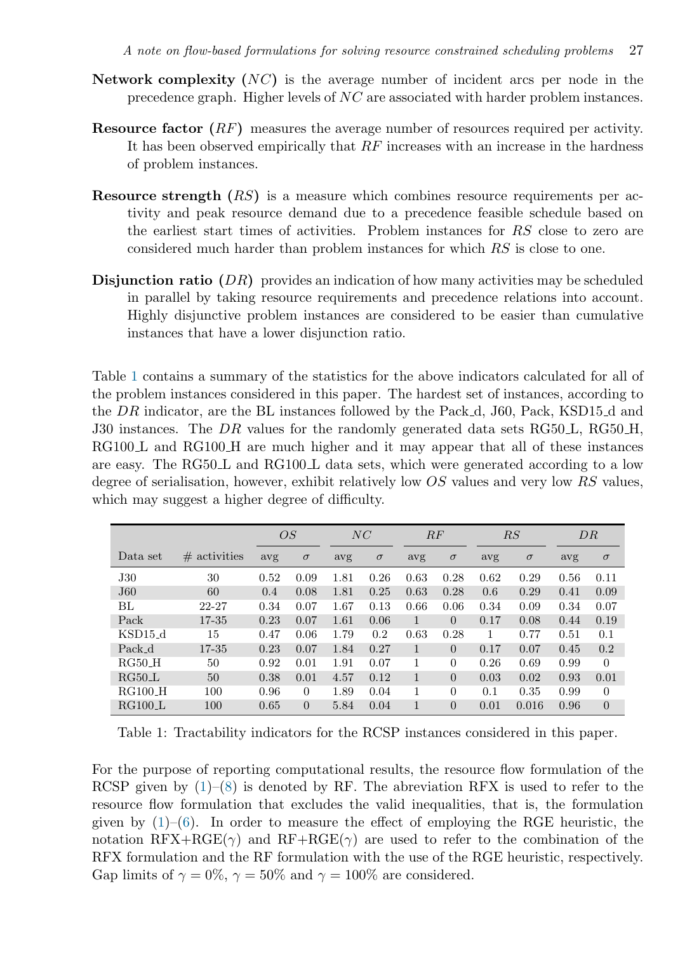- Network complexity  $(NC)$  is the average number of incident arcs per node in the precedence graph. Higher levels of NC are associated with harder problem instances.
- Resource factor (RF) measures the average number of resources required per activity. It has been observed empirically that  $RF$  increases with an increase in the hardness of problem instances.
- Resource strength  $(RS)$  is a measure which combines resource requirements per activity and peak resource demand due to a precedence feasible schedule based on the earliest start times of activities. Problem instances for RS close to zero are considered much harder than problem instances for which RS is close to one.
- Disjunction ratio (DR) provides an indication of how many activities may be scheduled in parallel by taking resource requirements and precedence relations into account. Highly disjunctive problem instances are considered to be easier than cumulative instances that have a lower disjunction ratio.

Table [1](#page-6-0) contains a summary of the statistics for the above indicators calculated for all of the problem instances considered in this paper. The hardest set of instances, according to the DR indicator, are the BL instances followed by the Pack d, J60, Pack, KSD15 d and J30 instances. The DR values for the randomly generated data sets  $RG50L$ ,  $RG50H$ , RG100 L and RG100 H are much higher and it may appear that all of these instances are easy. The RG50<sub>L</sub> and RG100<sub>L</sub> data sets, which were generated according to a low degree of serialisation, however, exhibit relatively low OS values and very low RS values, which may suggest a higher degree of difficulty.

<span id="page-6-0"></span>

|                 |                 |      | OS             |      | NC       |              | RF             |      | RS       |      | DR             |
|-----------------|-----------------|------|----------------|------|----------|--------------|----------------|------|----------|------|----------------|
| Data set        | $\#$ activities | avg  | $\sigma$       | avg  | $\sigma$ | avg          | $\sigma$       | avg  | $\sigma$ | avg  | $\sigma$       |
| J30             | 30              | 0.52 | 0.09           | 1.81 | 0.26     | 0.63         | 0.28           | 0.62 | 0.29     | 0.56 | 0.11           |
| J <sub>60</sub> | 60              | 0.4  | 0.08           | 1.81 | 0.25     | 0.63         | 0.28           | 0.6  | 0.29     | 0.41 | 0.09           |
| BL              | 22-27           | 0.34 | 0.07           | 1.67 | 0.13     | 0.66         | 0.06           | 0.34 | 0.09     | 0.34 | 0.07           |
| Pack            | 17-35           | 0.23 | 0.07           | 1.61 | 0.06     | $\mathbf{1}$ | $\Omega$       | 0.17 | 0.08     | 0.44 | 0.19           |
| $KSD15_d$       | 15              | 0.47 | 0.06           | 1.79 | 0.2      | 0.63         | 0.28           | 1    | 0.77     | 0.51 | 0.1            |
| Pack d          | 17-35           | 0.23 | 0.07           | 1.84 | 0.27     | $\mathbf{1}$ | $\Omega$       | 0.17 | 0.07     | 0.45 | 0.2            |
| RG50H           | 50              | 0.92 | 0.01           | 1.91 | 0.07     | 1            | $\Omega$       | 0.26 | 0.69     | 0.99 | $\Omega$       |
| $RG50_L$        | 50              | 0.38 | 0.01           | 4.57 | 0.12     | $\mathbf{1}$ | $\Omega$       | 0.03 | 0.02     | 0.93 | 0.01           |
| $RG100-H$       | 100             | 0.96 | $\theta$       | 1.89 | 0.04     | 1            | $\theta$       | 0.1  | 0.35     | 0.99 | $\theta$       |
| RG100L          | 100             | 0.65 | $\overline{0}$ | 5.84 | 0.04     | 1            | $\overline{0}$ | 0.01 | 0.016    | 0.96 | $\overline{0}$ |

Table 1: Tractability indicators for the RCSP instances considered in this paper.

For the purpose of reporting computational results, the resource flow formulation of the RCSP given by  $(1)$ – $(8)$  is denoted by RF. The abreviation RFX is used to refer to the resource flow formulation that excludes the valid inequalities, that is, the formulation given by  $(1)$ – $(6)$ . In order to measure the effect of employing the RGE heuristic, the notation  $RFX+RGE(\gamma)$  and  $RF+RGE(\gamma)$  are used to refer to the combination of the RFX formulation and the RF formulation with the use of the RGE heuristic, respectively. Gap limits of  $\gamma = 0\%$ ,  $\gamma = 50\%$  and  $\gamma = 100\%$  are considered.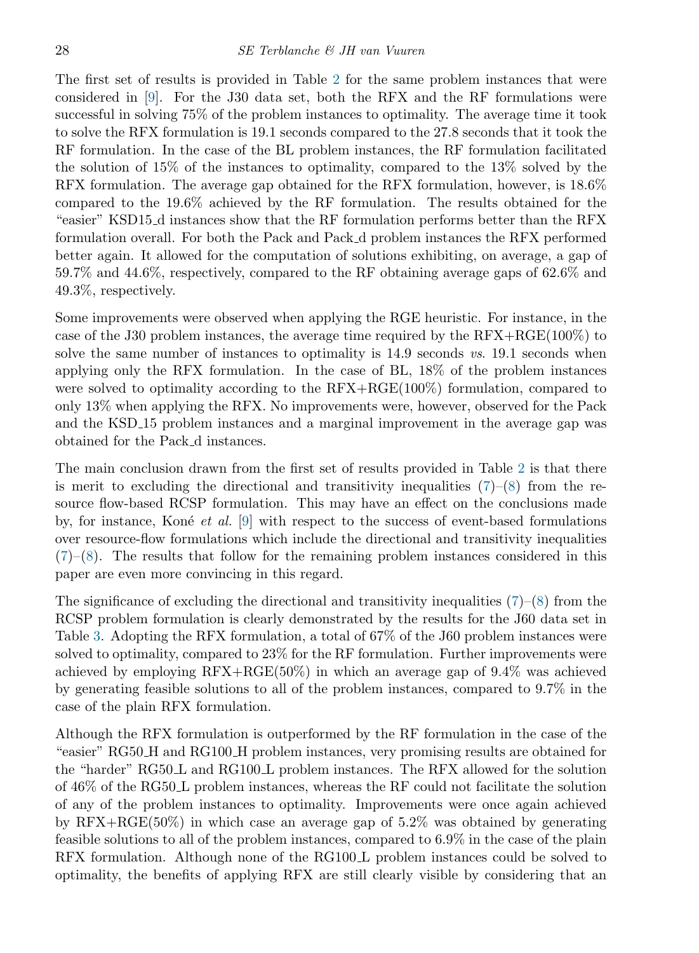The first set of results is provided in Table [2](#page-8-0) for the same problem instances that were considered in [\[9\]](#page-13-2). For the J30 data set, both the RFX and the RF formulations were successful in solving 75% of the problem instances to optimality. The average time it took to solve the RFX formulation is 19.1 seconds compared to the 27.8 seconds that it took the RF formulation. In the case of the BL problem instances, the RF formulation facilitated the solution of 15% of the instances to optimality, compared to the 13% solved by the RFX formulation. The average gap obtained for the RFX formulation, however, is 18.6% compared to the 19.6% achieved by the RF formulation. The results obtained for the "easier" KSD15 d instances show that the RF formulation performs better than the RFX formulation overall. For both the Pack and Pack d problem instances the RFX performed better again. It allowed for the computation of solutions exhibiting, on average, a gap of 59.7% and 44.6%, respectively, compared to the RF obtaining average gaps of 62.6% and 49.3%, respectively.

Some improvements were observed when applying the RGE heuristic. For instance, in the case of the J30 problem instances, the average time required by the RFX+RGE(100%) to solve the same number of instances to optimality is 14.9 seconds vs. 19.1 seconds when applying only the RFX formulation. In the case of BL, 18% of the problem instances were solved to optimality according to the RFX+RGE(100%) formulation, compared to only 13% when applying the RFX. No improvements were, however, observed for the Pack and the KSD 15 problem instances and a marginal improvement in the average gap was obtained for the Pack d instances.

The main conclusion drawn from the first set of results provided in Table [2](#page-8-0) is that there is merit to excluding the directional and transitivity inequalities  $(7)-(8)$  $(7)-(8)$  $(7)-(8)$  from the resource flow-based RCSP formulation. This may have an effect on the conclusions made by, for instance, Koné *et al.* [\[9\]](#page-13-2) with respect to the success of event-based formulations over resource-flow formulations which include the directional and transitivity inequalities  $(7)$ – $(8)$ . The results that follow for the remaining problem instances considered in this paper are even more convincing in this regard.

The significance of excluding the directional and transitivity inequalities  $(7)-(8)$  $(7)-(8)$  $(7)-(8)$  from the RCSP problem formulation is clearly demonstrated by the results for the J60 data set in Table [3.](#page-9-0) Adopting the RFX formulation, a total of 67% of the J60 problem instances were solved to optimality, compared to 23% for the RF formulation. Further improvements were achieved by employing RFX+RGE(50%) in which an average gap of 9.4% was achieved by generating feasible solutions to all of the problem instances, compared to 9.7% in the case of the plain RFX formulation.

Although the RFX formulation is outperformed by the RF formulation in the case of the "easier" RG50 H and RG100 H problem instances, very promising results are obtained for the "harder" RG50 L and RG100 L problem instances. The RFX allowed for the solution of 46% of the RG50 L problem instances, whereas the RF could not facilitate the solution of any of the problem instances to optimality. Improvements were once again achieved by  $RFX+RGE(50\%)$  in which case an average gap of 5.2% was obtained by generating feasible solutions to all of the problem instances, compared to 6.9% in the case of the plain RFX formulation. Although none of the RG100 L problem instances could be solved to optimality, the benefits of applying RFX are still clearly visible by considering that an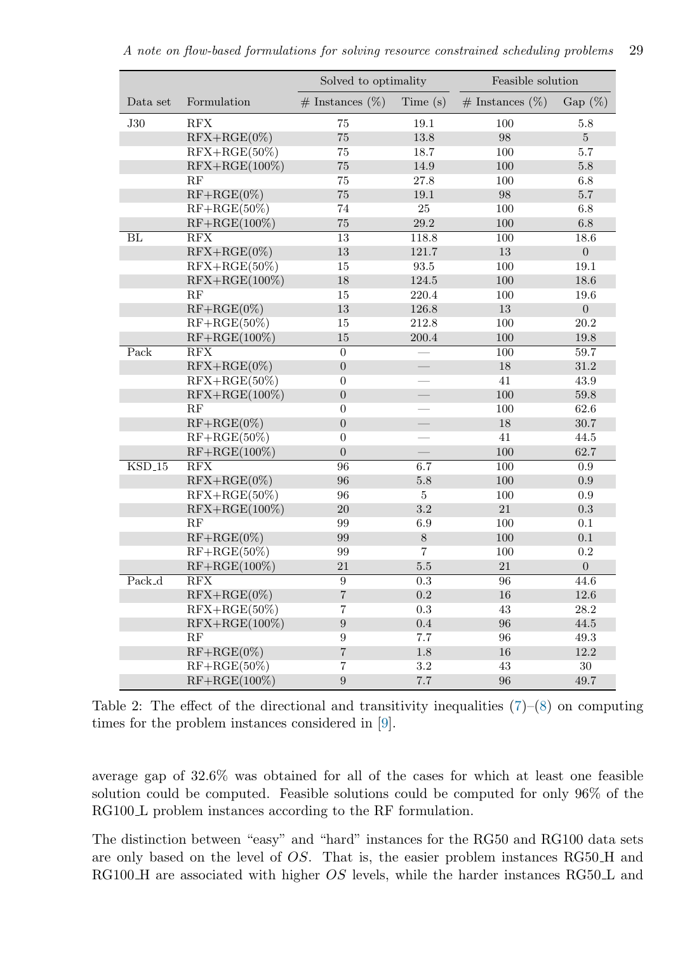<span id="page-8-0"></span>

|          |                         | Solved to optimality    |                         | Feasible solution     |                  |  |
|----------|-------------------------|-------------------------|-------------------------|-----------------------|------------------|--|
| Data set | Formulation             | $\#$ Instances $(\%)$   | Time $(s)$              | $\#$ Instances $(\%)$ | Gap $(\%)$       |  |
| J30      | $\operatorname{RFX}$    | 75                      | 19.1                    | 100                   | $5.8\,$          |  |
|          | $RFX+RGE(0\%)$          | $75\,$                  | $13.8\,$                | $98\,$                | $\overline{5}$   |  |
|          | $RFX+RGE(50\%)$         | $75\,$                  | 18.7                    | 100                   | 5.7              |  |
|          | $RFX+RGE(100\%)$        | $75\,$                  | 14.9                    | $100\,$               | $5.8\,$          |  |
|          | RF                      | $75\,$                  | 27.8                    | 100                   | 6.8              |  |
|          | $RF+RGE(0\%)$           | $75\,$                  | 19.1                    | $98\,$                | $5.7\,$          |  |
|          | $RF+RGE(50\%)$          | 74                      | 25                      | 100                   | $6.8\,$          |  |
|          | $RF+RGE(100\%)$         | $75\,$                  | $29.2\,$                | $100\,$               | $6.8\,$          |  |
| BL       | RFX                     | $\overline{13}$         | 118.8                   | 100                   | 18.6             |  |
|          | $RFX+RGE(0\%)$          | 13                      | 121.7                   | $13\,$                | $\boldsymbol{0}$ |  |
|          | $RFX+RGE(50\%)$         | 15                      | 93.5                    | 100                   | 19.1             |  |
|          | $RFX+RGE(100\%)$        | $18\,$                  | $124.5\,$               | $100\,$               | 18.6             |  |
|          | RF                      | 15                      | 220.4                   | 100                   | 19.6             |  |
|          | $RF+RGE(0\%)$           | 13                      | $126.8\,$               | $13\,$                | $\boldsymbol{0}$ |  |
|          | $RF+RGE(50\%)$          | $15\,$                  | 212.8                   | 100                   | 20.2             |  |
|          | $RF+RGE(100\%)$         | 15                      | 200.4                   | 100                   | 19.8             |  |
| Pack     | RFX                     | $\overline{0}$          |                         | 100                   | 59.7             |  |
|          | $RFX+RGE(0\%)$          | $\overline{0}$          |                         | $18\,$                | 31.2             |  |
|          | $RFX+RGE(50\%)$         | $\overline{0}$          |                         | 41                    | 43.9             |  |
|          | $RFX+RGE(100\%)$        | $\overline{0}$          | $\frac{1}{1}$           | 100                   | 59.8             |  |
|          | RF                      | $\overline{0}$          |                         | 100                   | 62.6             |  |
|          | $RF+RGE(0\%)$           | $\overline{0}$          |                         | 18                    | 30.7             |  |
|          | $RF+RGE(50\%)$          | $\overline{0}$          |                         | 41                    | 44.5             |  |
|          | $RF+RGE(100\%)$         | $\boldsymbol{0}$        |                         | 100                   | 62.7             |  |
| $KSD_15$ | $\overline{\text{RFX}}$ | 96                      | 6.7                     | 100                   | 0.9              |  |
|          | $RFX+RGE(0\%)$          | 96                      | 5.8                     | 100                   | 0.9              |  |
|          | $RFX+RGE(50\%)$         | 96                      | $\overline{\mathbf{5}}$ | 100                   | 0.9              |  |
|          | $RFX+RGE(100\%)$        | $20\,$                  | 3.2                     | $21\,$                | $\rm 0.3$        |  |
|          | RF                      | $99\,$                  | 6.9                     | 100                   | 0.1              |  |
|          | $RF+RGE(0\%)$           | 99                      | $8\,$                   | 100                   | $0.1\,$          |  |
|          | $RF+RGE(50\%)$          | 99                      | $\overline{7}$          | 100                   | $\rm 0.2$        |  |
|          | $RF+RGE(100\%)$         | $21\,$                  | $5.5\,$                 | $21\,$                | $\boldsymbol{0}$ |  |
| Pack_d   | RFX                     | $\overline{9}$          | $\overline{0.3}$        | $\overline{96}$       | 44.6             |  |
|          | $RFX+RGE(0\%)$          | $\sqrt{ }$              | 0.2                     | 16                    | 12.6             |  |
|          | $RFX+RGE(50\%)$         | $\overline{\mathbf{7}}$ | 0.3                     | 43                    | 28.2             |  |
|          | $RFX+RGE(100\%)$        | 9                       | 0.4                     | 96                    | $44.5\,$         |  |
|          | RF                      | $\boldsymbol{9}$        | 7.7                     | 96                    | 49.3             |  |
|          | $RF+RGE(0\%)$           | $\sqrt{ }$              | $1.8\,$                 | 16                    | 12.2             |  |
|          | $RF+RGE(50\%)$          | $\overline{7}$          | $3.2\,$                 | 43                    | 30 <sup>°</sup>  |  |
|          | $RF+RGE(100\%)$         | $\boldsymbol{9}$        | 7.7                     | 96                    | 49.7             |  |

Table 2: The effect of the directional and transitivity inequalities  $(7)-(8)$  $(7)-(8)$  $(7)-(8)$  on computing times for the problem instances considered in [\[9\]](#page-13-2).

average gap of 32.6% was obtained for all of the cases for which at least one feasible solution could be computed. Feasible solutions could be computed for only 96% of the RG100 L problem instances according to the RF formulation.

The distinction between "easy" and "hard" instances for the RG50 and RG100 data sets are only based on the level of OS. That is, the easier problem instances RG50 H and RG100 H are associated with higher  $OS$  levels, while the harder instances RG50 L and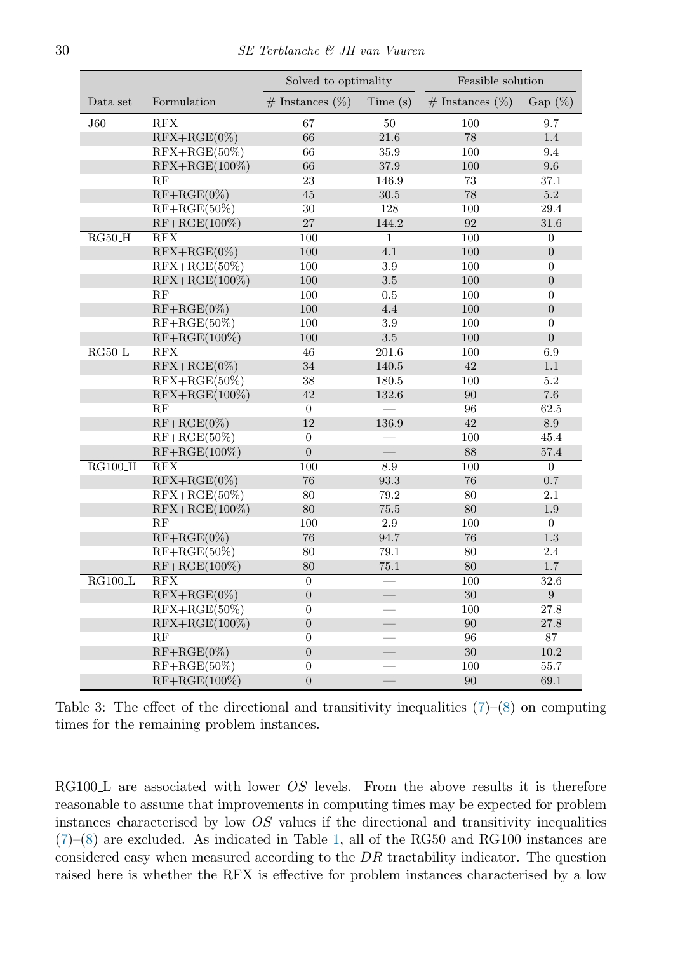<span id="page-9-0"></span>

|                              |                         | Solved to optimality  |                          | Feasible solution     |                  |
|------------------------------|-------------------------|-----------------------|--------------------------|-----------------------|------------------|
| Data set                     | Formulation             | $\#$ Instances $(\%)$ | Time(s)                  | $\#$ Instances $(\%)$ | Gap $(\%)$       |
| J60                          | RFX                     | 67                    | 50                       | 100                   | 9.7              |
|                              | $RFX+RGE(0\%)$          | 66                    | $21.6\,$                 | $78\,$                | 1.4              |
|                              | $RFX+RGE(50\%)$         | 66                    | 35.9                     | 100                   | 9.4              |
|                              | $RFX+RGE(100\%)$        | 66                    | 37.9                     | 100                   | 9.6              |
|                              | RF                      | 23                    | 146.9                    | 73                    | 37.1             |
|                              | $RF+RGE(0\%)$           | 45                    | $30.5\,$                 | 78                    | $5.2\,$          |
|                              | $RF+RGE(50\%)$          | $30\,$                | 128                      | 100                   | 29.4             |
|                              | $RF+RGE(100\%)$         | 27                    | 144.2                    | 92                    | 31.6             |
| $RG50_H$                     | RFX                     | 100                   | $\mathbf 1$              | 100                   | $\boldsymbol{0}$ |
|                              | $RFX+RGE(0\%)$          | 100                   | 4.1                      | 100                   | $\boldsymbol{0}$ |
|                              | $RFX+RGE(50\%)$         | 100                   | 3.9                      | 100                   | $\overline{0}$   |
|                              | $RFX+RGE(100\%)$        | 100                   | $3.5\,$                  | 100                   | $\boldsymbol{0}$ |
|                              | RF                      | 100                   | 0.5                      | $100\,$               | $\boldsymbol{0}$ |
|                              | $RF+RGE(0\%)$           | 100                   | 4.4                      | 100                   | $\overline{0}$   |
|                              | $RF+RGE(50\%)$          | 100                   | 3.9                      | 100                   | $\boldsymbol{0}$ |
|                              | $RF+RGE(100\%)$         | 100                   | $3.5\,$                  | 100                   | $\boldsymbol{0}$ |
| $RG50\_L$                    | RFX                     | 46                    | 201.6                    | 100                   | 6.9              |
|                              | $RFX+RGE(0\%)$          | 34                    | 140.5                    | 42                    | 1.1              |
|                              | $RFX+RGE(50\%)$         | 38                    | 180.5                    | 100                   | 5.2              |
|                              | $RFX+RGE(100\%)$        | 42                    | 132.6                    | 90                    | $7.6\,$          |
|                              | RF                      | $\boldsymbol{0}$      |                          | 96                    | 62.5             |
|                              | $RF+RGE(0\%)$           | 12                    | 136.9                    | 42                    | 8.9              |
|                              | $RF+RGE(50\%)$          | $\boldsymbol{0}$      |                          | 100                   | 45.4             |
|                              | $RF+RGE(100\%)$         | $\overline{0}$        |                          | 88                    | 57.4             |
| $RG100_H$                    | $\overline{\text{RFX}}$ | 100                   | $\!\!\!\!\!8.9$          | 100                   | $\overline{0}$   |
|                              | $RFX+RGE(0\%)$          | 76                    | $93.3\,$                 | 76                    | 0.7              |
|                              | $RFX+RGE(50\%)$         | 80                    | 79.2                     | 80                    | 2.1              |
|                              | $RFX+RGE(100\%)$        | 80                    | 75.5                     | 80                    | $1.9\,$          |
|                              | RF                      | 100                   | $2.9\,$                  | 100                   | $\boldsymbol{0}$ |
|                              | $RF+RGE(0\%)$           | 76                    | 94.7                     | 76                    | 1.3              |
|                              | $RF+RGE(50\%)$          | 80                    | 79.1                     | 80                    | $2.4\,$          |
|                              | $RF+RGE(100\%)$         | 80                    | 75.1                     | 80                    | $1.7\,$          |
| $\overline{\text{RG100\_L}}$ | $\overline{\text{RFX}}$ | $\overline{0}$        | $\overline{\phantom{0}}$ | 100                   | 32.6             |
|                              | $RFX+RGE(0\%)$          | $\boldsymbol{0}$      |                          | $30\,$                | $\boldsymbol{9}$ |
|                              | $RFX+RGE(50\%)$         | $\boldsymbol{0}$      |                          | 100                   | 27.8             |
|                              | $RFX+RGE(100\%)$        | $\overline{0}$        |                          | 90                    | $27.8\,$         |
|                              | RF                      | $\boldsymbol{0}$      |                          | 96                    | 87               |
|                              | $RF+RGE(0\%)$           | $\boldsymbol{0}$      | $\frac{1}{2}$            | $30\,$                | $10.2\,$         |
|                              | $RF+RGE(50\%)$          | $\boldsymbol{0}$      |                          | 100                   | 55.7             |
|                              | $RF+RGE(100\%)$         | $\overline{0}$        |                          | 90                    | 69.1             |

Table 3: The effect of the directional and transitivity inequalities  $(7)-(8)$  $(7)-(8)$  $(7)-(8)$  on computing times for the remaining problem instances.

RG100 $\bot$  are associated with lower  $OS$  levels. From the above results it is therefore reasonable to assume that improvements in computing times may be expected for problem instances characterised by low OS values if the directional and transitivity inequalities [\(7\)](#page-2-6)–[\(8\)](#page-2-7) are excluded. As indicated in Table [1,](#page-6-0) all of the RG50 and RG100 instances are considered easy when measured according to the DR tractability indicator. The question raised here is whether the RFX is effective for problem instances characterised by a low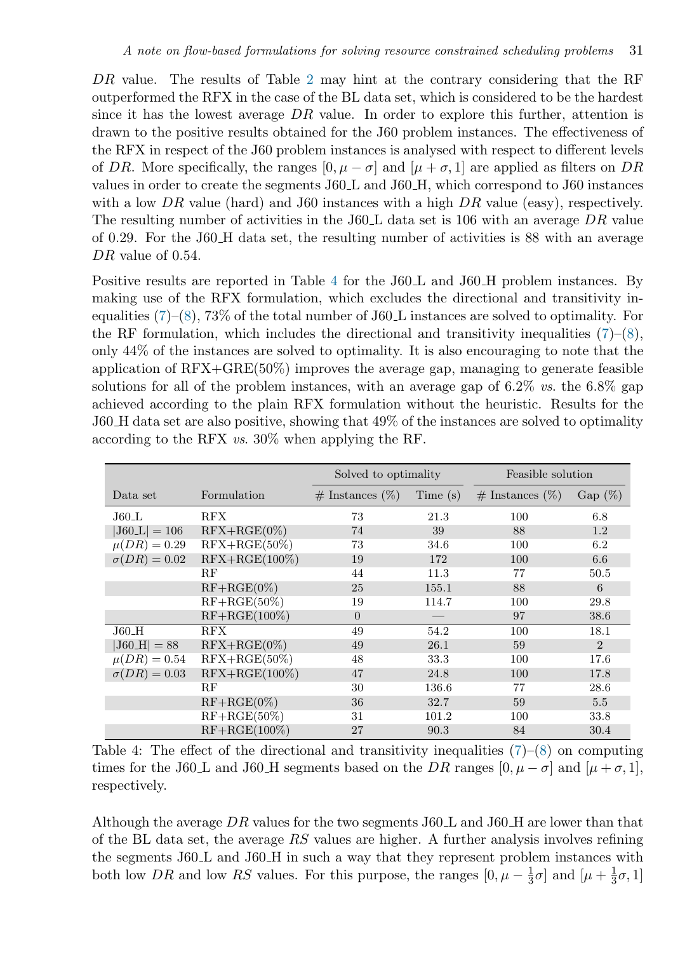DR value. The results of Table [2](#page-8-0) may hint at the contrary considering that the RF outperformed the RFX in the case of the BL data set, which is considered to be the hardest since it has the lowest average  $DR$  value. In order to explore this further, attention is drawn to the positive results obtained for the J60 problem instances. The effectiveness of the RFX in respect of the J60 problem instances is analysed with respect to different levels of DR. More specifically, the ranges  $[0, \mu - \sigma]$  and  $[\mu + \sigma, 1]$  are applied as filters on DR values in order to create the segments J60 L and J60 H, which correspond to J60 instances with a low DR value (hard) and J60 instances with a high  $DR$  value (easy), respectively. The resulting number of activities in the J60 L data set is 106 with an average  $DR$  value of 0.29. For the J60 H data set, the resulting number of activities is 88 with an average DR value of 0.54.

Positive results are reported in Table [4](#page-10-0) for the J60 L and J60 H problem instances. By making use of the RFX formulation, which excludes the directional and transitivity inequalities  $(7)-(8)$  $(7)-(8)$  $(7)-(8)$ , 73% of the total number of J60 $\bot$  instances are solved to optimality. For the RF formulation, which includes the directional and transitivity inequalities  $(7)-(8)$  $(7)-(8)$  $(7)-(8)$ , only 44% of the instances are solved to optimality. It is also encouraging to note that the application of  $RFX + GRE(50\%)$  improves the average gap, managing to generate feasible solutions for all of the problem instances, with an average gap of  $6.2\%$  vs. the  $6.8\%$  gap achieved according to the plain RFX formulation without the heuristic. Results for the J60 H data set are also positive, showing that 49% of the instances are solved to optimality according to the RFX vs. 30% when applying the RF.

<span id="page-10-0"></span>

|                             |                  | Solved to optimality  |         | Feasible solution     |           |
|-----------------------------|------------------|-----------------------|---------|-----------------------|-----------|
| Data set                    | Formulation      | $\#$ Instances $(\%)$ | Time(s) | $\#$ Instances $(\%)$ | $Gap(\%)$ |
| $J60$ _L                    | <b>RFX</b>       | 73                    | 21.3    | 100                   | 6.8       |
| $ J60 \text{L}  = 106$      | $RFX+RGE(0\%)$   | 74                    | 39      | 88                    | 1.2       |
| $\overline{\mu(DR)} = 0.29$ | $RFX+RGE(50\%)$  | 73                    | 34.6    | 100                   | 6.2       |
| $\sigma(DR) = 0.02$         | $RFX+RGE(100\%)$ | 19                    | 172     | 100                   | 6.6       |
|                             | RF               | 44                    | 11.3    | 77                    | 50.5      |
|                             | $RF+RGE(0\%)$    | 25                    | 155.1   | 88                    | 6         |
|                             | $RF+RGE(50\%)$   | 19                    | 114.7   | 100                   | 29.8      |
|                             | $RF+RGE(100\%)$  | $\overline{0}$        |         | 97                    | 38.6      |
| $J60-H$                     | RFX              | 49                    | 54.2    | 100                   | 18.1      |
| $ J60_F  = 88$              | $RFX+RGE(0\%)$   | 49                    | 26.1    | 59                    | 2         |
| $\mu(DR) = 0.54$            | $RFX+RGE(50\%)$  | 48                    | 33.3    | 100                   | 17.6      |
| $\sigma(DR) = 0.03$         | $RFX+RGE(100\%)$ | 47                    | 24.8    | 100                   | 17.8      |
|                             | RF               | 30                    | 136.6   | 77                    | 28.6      |
|                             | $RF+RGE(0\%)$    | 36                    | 32.7    | 59                    | 5.5       |
|                             | $RF+RGE(50\%)$   | 31                    | 101.2   | 100                   | 33.8      |
|                             | $RF+RGE(100\%)$  | 27                    | 90.3    | 84                    | 30.4      |

Table 4: The effect of the directional and transitivity inequalities  $(7)-(8)$  $(7)-(8)$  $(7)-(8)$  on computing times for the J60 $\bot$  and J60 $\bot$ H segments based on the DR ranges  $[0, \mu - \sigma]$  and  $[\mu + \sigma, 1]$ , respectively.

Although the average DR values for the two segments  $J60<sub>L</sub>$  and  $J60<sub>L</sub>$  are lower than that of the BL data set, the average  $RS$  values are higher. A further analysis involves refining the segments J60.L and J60.H in such a way that they represent problem instances with both low DR and low RS values. For this purpose, the ranges  $[0, \mu - \frac{1}{3}]$  $\frac{1}{3}\sigma$ ] and  $\left[\mu+\frac{1}{3}\right]$  $\frac{1}{3}\sigma$ , 1]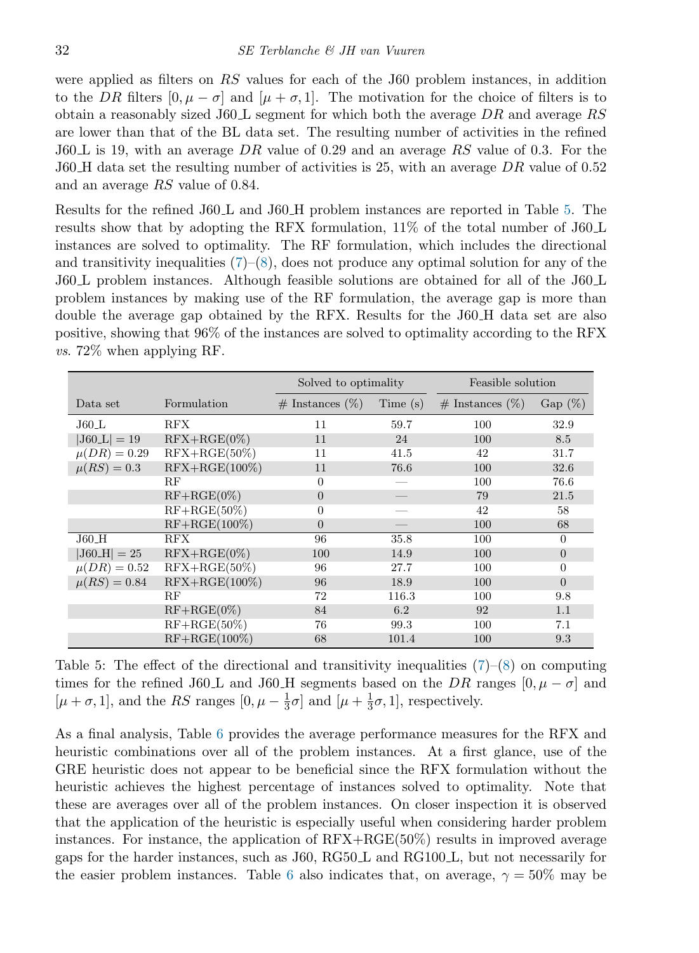were applied as filters on RS values for each of the J60 problem instances, in addition to the DR filters  $[0, \mu - \sigma]$  and  $[\mu + \sigma, 1]$ . The motivation for the choice of filters is to obtain a reasonably sized J60. L segment for which both the average  $DR$  and average RS are lower than that of the BL data set. The resulting number of activities in the refined  $J60L$  is 19, with an average DR value of 0.29 and an average RS value of 0.3. For the J60 H data set the resulting number of activities is 25, with an average DR value of 0.52 and an average RS value of 0.84.

Results for the refined J60 L and J60 H problem instances are reported in Table [5.](#page-11-0) The results show that by adopting the RFX formulation, 11% of the total number of J60 L instances are solved to optimality. The RF formulation, which includes the directional and transitivity inequalities  $(7)$ – $(8)$ , does not produce any optimal solution for any of the J60 L problem instances. Although feasible solutions are obtained for all of the J60 L problem instances by making use of the RF formulation, the average gap is more than double the average gap obtained by the RFX. Results for the J60 H data set are also positive, showing that 96% of the instances are solved to optimality according to the RFX  $vs. 72\%$  when applying RF.

<span id="page-11-0"></span>

|                  |                  | Solved to optimality  |         | Feasible solution     |                |
|------------------|------------------|-----------------------|---------|-----------------------|----------------|
| Data set         | Formulation      | $\#$ Instances $(\%)$ | Time(s) | $\#$ Instances $(\%)$ | $Gap (\%)$     |
| $J60 \perp$      | <b>RFX</b>       | 11                    | 59.7    | 100                   | 32.9           |
| $ J60 \_L  = 19$ | $RFX+RGE(0\%)$   | 11                    | 24      | 100                   | 8.5            |
| $\mu(DR) = 0.29$ | $RFX+RGE(50\%)$  | 11                    | 41.5    | 42                    | 31.7           |
| $\mu(RS) = 0.3$  | $RFX+RGE(100\%)$ | 11                    | 76.6    | 100                   | 32.6           |
|                  | RF               | $\theta$              |         | 100                   | 76.6           |
|                  | $RF+RGE(0\%)$    | $\overline{0}$        |         | 79                    | 21.5           |
|                  | $RF+RGE(50\%)$   | $\overline{0}$        |         | 42                    | 58             |
|                  | $RF+RGE(100\%)$  | $\overline{0}$        |         | 100                   | 68             |
| $J60_H$          | RFX              | 96                    | 35.8    | 100                   | $\theta$       |
| $ J60_F  = 25$   | $RFX+RGE(0\%)$   | 100                   | 14.9    | 100                   | $\overline{0}$ |
| $\mu(DR) = 0.52$ | $RFX+RGE(50\%)$  | 96                    | 27.7    | 100                   | $\overline{0}$ |
| $\mu(RS) = 0.84$ | $RFX+RGE(100\%)$ | 96                    | 18.9    | 100                   | $\overline{0}$ |
|                  | RF               | 72                    | 116.3   | 100                   | 9.8            |
|                  | $RF+RGE(0\%)$    | 84                    | 6.2     | 92                    | 1.1            |
|                  | $RF+RGE(50\%)$   | 76                    | 99.3    | 100                   | 7.1            |
|                  | $RF+RGE(100\%)$  | 68                    | 101.4   | 100                   | 9.3            |

Table 5: The effect of the directional and transitivity inequalities  $(7)-(8)$  $(7)-(8)$  $(7)-(8)$  on computing times for the refined J60 L and J60 H segments based on the DR ranges  $[0, \mu - \sigma]$  and  $[\mu + \sigma, 1]$ , and the RS ranges  $[0, \mu - \frac{1}{3}]$  $\frac{1}{3}\sigma$ ] and  $\left[\mu+\frac{1}{3}\right]$  $\frac{1}{3}\sigma$ , 1], respectively.

As a final analysis, Table [6](#page-12-9) provides the average performance measures for the RFX and heuristic combinations over all of the problem instances. At a first glance, use of the GRE heuristic does not appear to be beneficial since the RFX formulation without the heuristic achieves the highest percentage of instances solved to optimality. Note that these are averages over all of the problem instances. On closer inspection it is observed that the application of the heuristic is especially useful when considering harder problem instances. For instance, the application of RFX+RGE(50%) results in improved average gaps for the harder instances, such as J60, RG50 L and RG100 L, but not necessarily for the easier problem instances. Table [6](#page-12-9) also indicates that, on average,  $\gamma = 50\%$  may be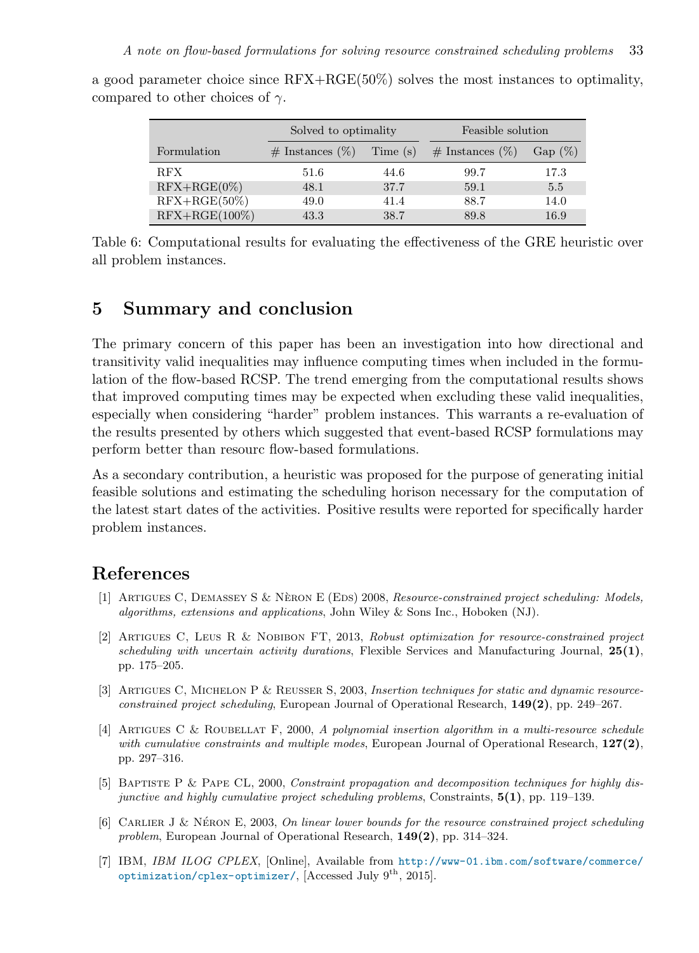|                  | Solved to optimality  |          | Feasible solution     |            |  |
|------------------|-----------------------|----------|-----------------------|------------|--|
| Formulation      | $\#$ Instances $(\%)$ | Time (s) | $\#$ Instances $(\%)$ | Gap $(\%)$ |  |
| <b>RFX</b>       | 51.6                  | 44.6     | 99.7                  | 17.3       |  |
| $RFX+RGE(0\%)$   | 48.1                  | 37.7     | 59.1                  | 5.5        |  |
| $RFX+RGE(50\%)$  | 49.0                  | 41.4     | 88.7                  | 14.0       |  |
| $RFX+RGE(100\%)$ | 43.3                  | 38.7     | 89.8                  | 16.9       |  |

<span id="page-12-9"></span>a good parameter choice since RFX+RGE(50%) solves the most instances to optimality, compared to other choices of  $\gamma$ .

Table 6: Computational results for evaluating the effectiveness of the GRE heuristic over all problem instances.

#### <span id="page-12-3"></span>5 Summary and conclusion

The primary concern of this paper has been an investigation into how directional and transitivity valid inequalities may influence computing times when included in the formulation of the flow-based RCSP. The trend emerging from the computational results shows that improved computing times may be expected when excluding these valid inequalities, especially when considering "harder" problem instances. This warrants a re-evaluation of the results presented by others which suggested that event-based RCSP formulations may perform better than resourc flow-based formulations.

As a secondary contribution, a heuristic was proposed for the purpose of generating initial feasible solutions and estimating the scheduling horison necessary for the computation of the latest start dates of the activities. Positive results were reported for specifically harder problem instances.

#### <span id="page-12-0"></span>References

- <span id="page-12-4"></span>[1] ARTIGUES C, DEMASSEY S & NÈRON E (EDS) 2008, Resource-constrained project scheduling: Models, algorithms, extensions and applications, John Wiley & Sons Inc., Hoboken (NJ).
- <span id="page-12-5"></span>[2] ARTIGUES C, LEUS R & NOBIBON FT, 2013, Robust optimization for resource-constrained project scheduling with uncertain activity durations, Flexible Services and Manufacturing Journal,  $25(1)$ , pp. 175–205.
- <span id="page-12-1"></span>[3] ARTIGUES C, MICHELON P & REUSSER S, 2003, Insertion techniques for static and dynamic resourceconstrained project scheduling, European Journal of Operational Research, 149(2), pp. 249–267.
- <span id="page-12-2"></span>[4] Artigues C & Roubellat F, 2000, A polynomial insertion algorithm in a multi-resource schedule with cumulative constraints and multiple modes, European Journal of Operational Research,  $127(2)$ , pp. 297–316.
- <span id="page-12-7"></span>[5] Baptiste P & Pape CL, 2000, Constraint propagation and decomposition techniques for highly disjunctive and highly cumulative project scheduling problems, Constraints,  $5(1)$ , pp. 119–139.
- <span id="page-12-8"></span>[6] CARLIER J & NÉRON E, 2003, On linear lower bounds for the resource constrained project scheduling problem, European Journal of Operational Research, 149(2), pp. 314–324.
- <span id="page-12-6"></span>[7] IBM, IBM ILOG CPLEX, [Online], Available from [http://www-01.ibm.com/software/commerce/](http://www-01.ibm.com/software/commerce/optimization/cplex-optimizer/) [optimization/cplex-optimizer/](http://www-01.ibm.com/software/commerce/optimization/cplex-optimizer/), [Accessed July 9th, 2015].